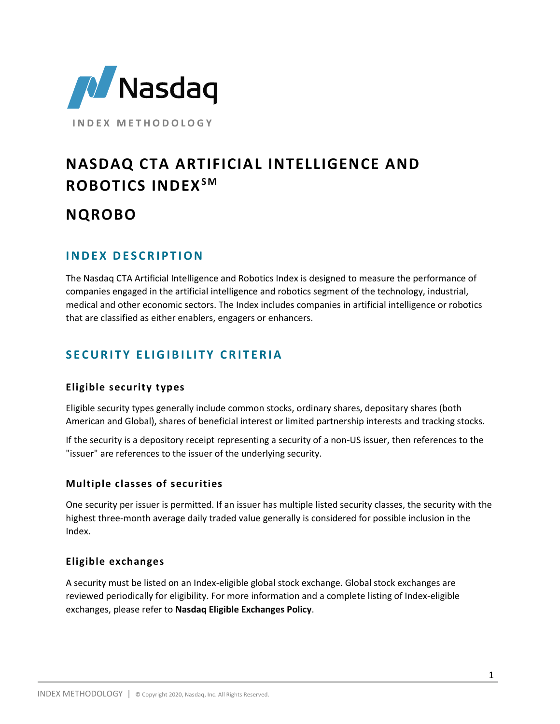

**I N D E X M E T H O D O L O G Y**

# **NASDAQ CTA ARTIFICIAL INTELLIGENCE AND ROBOTICS INDEXS M**

# **NQROBO**

# **I N D E X D E S C R I P T I O N**

The Nasdaq CTA Artificial Intelligence and Robotics Index is designed to measure the performance of companies engaged in the artificial intelligence and robotics segment of the technology, industrial, medical and other economic sectors. The Index includes companies in artificial intelligence or robotics that are classified as either enablers, engagers or enhancers.

# **S E C U R I T Y E L I G I B I L I T Y C R I T E R I A**

### **Eligible security types**

Eligible security types generally include common stocks, ordinary shares, depositary shares (both American and Global), shares of beneficial interest or limited partnership interests and tracking stocks.

If the security is a depository receipt representing a security of a non-US issuer, then references to the "issuer" are references to the issuer of the underlying security.

### **Multiple classes of securities**

One security per issuer is permitted. If an issuer has multiple listed security classes, the security with the highest three-month average daily traded value generally is considered for possible inclusion in the Index.

### **Eligible exchanges**

A security must be listed on an Index-eligible global stock exchange. Global stock exchanges are reviewed periodically for eligibility. For more information and a complete listing of Index-eligible exchanges, please refer to **Nasdaq Eligible Exchanges Policy**.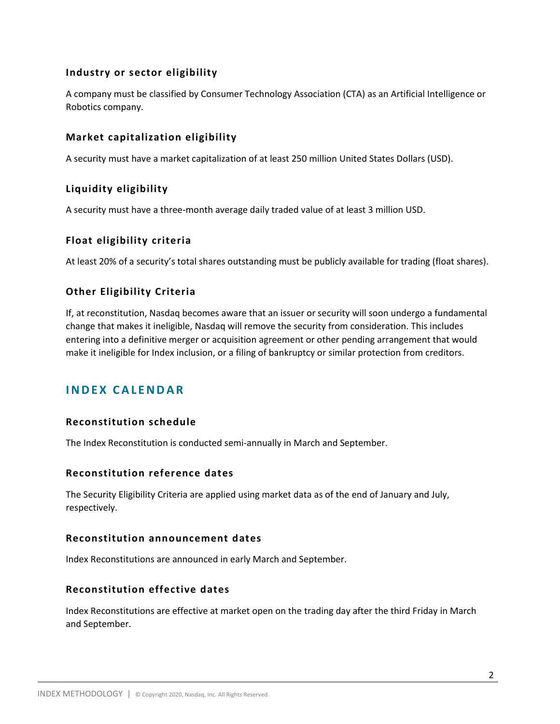#### **Industry or sector eligibility**

A company must be classified by Consumer Technology Association (CTA) as an Artificial Intelligence or Robotics company.

#### **Market capitalization eligibility**

A security must have a market capitalization of at least 250 million United States Dollars (USD).

### **Liquidity eligibility**

A security must have a three-month average daily traded value of at least 3 million USD.

#### **Float eligibility criteria**

At least 20% of a security's total shares outstanding must be publicly available for trading (float shares).

#### **Other Eligibility Criteria**

If, at reconstitution, Nasdaq becomes aware that an issuer or security will soon undergo a fundamental change that makes it ineligible, Nasdaq will remove the security from consideration. This includes entering into a definitive merger or acquisition agreement or other pending arrangement that would make it ineligible for Index inclusion, or a filing of bankruptcy or similar protection from creditors.

## **I N D E X C A L E N D A R**

#### **Reconstitution schedule**

The Index Reconstitution is conducted semi-annually in March and September.

#### **Reconstitution reference dates**

The Security Eligibility Criteria are applied using market data as of the end of January and July, respectively.

#### **Reconstitution announcement dates**

Index Reconstitutions are announced in early March and September.

#### **Reconstitution effective dates**

Index Reconstitutions are effective at market open on the trading day after the third Friday in March and September.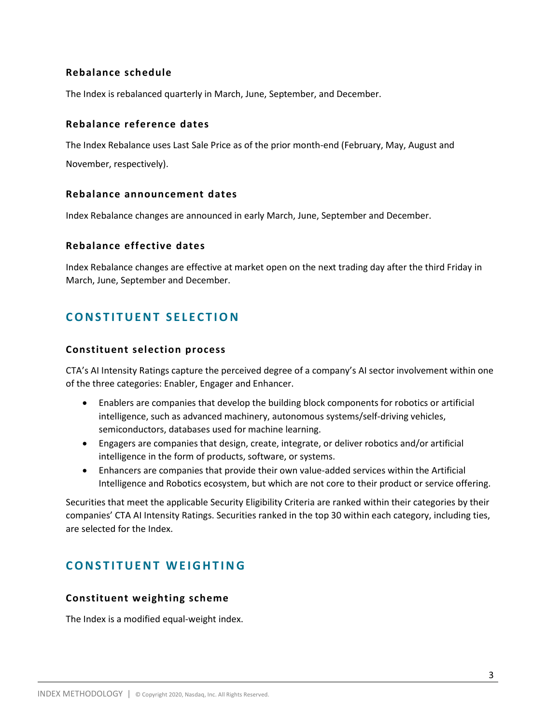#### **Rebalance schedule**

The Index is rebalanced quarterly in March, June, September, and December.

#### **Rebalance reference dates**

The Index Rebalance uses Last Sale Price as of the prior month-end (February, May, August and November, respectively).

#### **Rebalance announcement dates**

Index Rebalance changes are announced in early March, June, September and December.

#### **Rebalance effective dates**

Index Rebalance changes are effective at market open on the next trading day after the third Friday in March, June, September and December.

# **CONSTITUENT SELECTION**

#### **Constituent selection process**

CTA's AI Intensity Ratings capture the perceived degree of a company's AI sector involvement within one of the three categories: Enabler, Engager and Enhancer.

- Enablers are companies that develop the building block components for robotics or artificial intelligence, such as advanced machinery, autonomous systems/self-driving vehicles, semiconductors, databases used for machine learning.
- Engagers are companies that design, create, integrate, or deliver robotics and/or artificial intelligence in the form of products, software, or systems.
- Enhancers are companies that provide their own value-added services within the Artificial Intelligence and Robotics ecosystem, but which are not core to their product or service offering.

Securities that meet the applicable Security Eligibility Criteria are ranked within their categories by their companies' CTA AI Intensity Ratings. Securities ranked in the top 30 within each category, including ties, are selected for the Index.

## **CONSTITUENT WEIGHTING**

#### **Constituent weighting scheme**

The Index is a modified equal-weight index.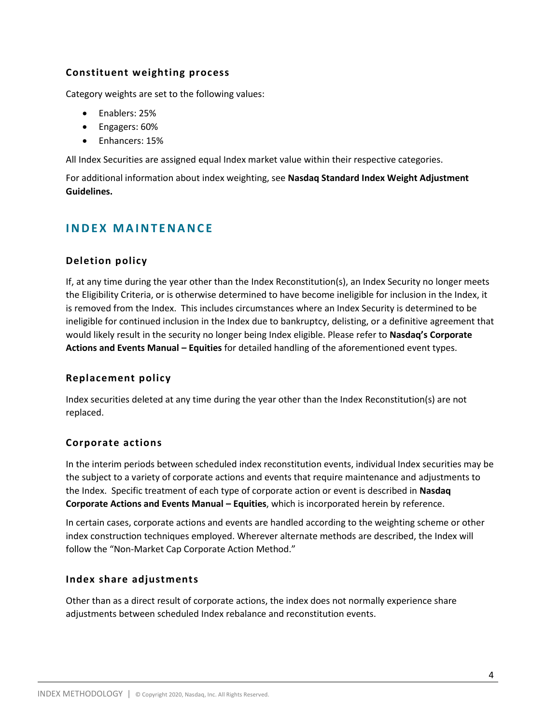#### **Constituent weighting process**

Category weights are set to the following values:

- Enablers: 25%
- Engagers: 60%
- Enhancers: 15%

All Index Securities are assigned equal Index market value within their respective categories.

For additional information about index weighting, see **Nasdaq Standard Index Weight Adjustment Guidelines.**

# **I N D E X M A I N T E N A N C E**

#### **Deletion policy**

If, at any time during the year other than the Index Reconstitution(s), an Index Security no longer meets the Eligibility Criteria, or is otherwise determined to have become ineligible for inclusion in the Index, it is removed from the Index. This includes circumstances where an Index Security is determined to be ineligible for continued inclusion in the Index due to bankruptcy, delisting, or a definitive agreement that would likely result in the security no longer being Index eligible. Please refer to **Nasdaq's Corporate Actions and Events Manual – Equities** for detailed handling of the aforementioned event types.

#### **Replacement policy**

Index securities deleted at any time during the year other than the Index Reconstitution(s) are not replaced.

### **Corporate actions**

In the interim periods between scheduled index reconstitution events, individual Index securities may be the subject to a variety of corporate actions and events that require maintenance and adjustments to the Index. Specific treatment of each type of corporate action or event is described in **Nasdaq Corporate Actions and Events Manual – Equities**, which is incorporated herein by reference.

In certain cases, corporate actions and events are handled according to the weighting scheme or other index construction techniques employed. Wherever alternate methods are described, the Index will follow the "Non-Market Cap Corporate Action Method."

#### **Index share adjustments**

Other than as a direct result of corporate actions, the index does not normally experience share adjustments between scheduled Index rebalance and reconstitution events.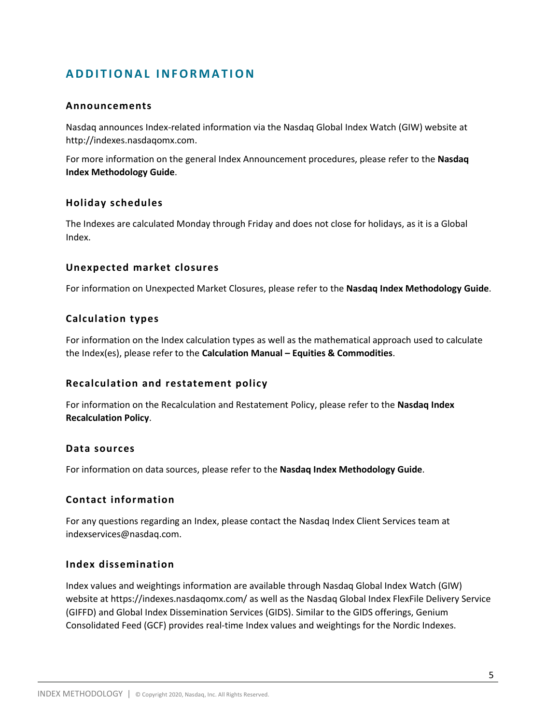# **A D D I T I O N A L I N F O R M A T IO N**

#### **Announcements**

Nasdaq announces Index-related information via the Nasdaq Global Index Watch (GIW) website at http://indexes.nasdaqomx.com.

For more information on the general Index Announcement procedures, please refer to the **Nasdaq Index Methodology Guide**.

#### **Holiday schedules**

The Indexes are calculated Monday through Friday and does not close for holidays, as it is a Global Index.

#### **Unexpected market closures**

For information on Unexpected Market Closures, please refer to the **Nasdaq Index Methodology Guide**.

#### **Calculation types**

For information on the Index calculation types as well as the mathematical approach used to calculate the Index(es), please refer to the **Calculation Manual – Equities & Commodities**.

#### **Recalculation and restatement policy**

For information on the Recalculation and Restatement Policy, please refer to the **Nasdaq Index Recalculation Policy**.

#### **Data sources**

For information on data sources, please refer to the **Nasdaq Index Methodology Guide**.

#### **Contact information**

For any questions regarding an Index, please contact the Nasdaq Index Client Services team at indexservices@nasdaq.com.

#### **Index dissemination**

Index values and weightings information are available through Nasdaq Global Index Watch (GIW) website at https://indexes.nasdaqomx.com/ as well as the Nasdaq Global Index FlexFile Delivery Service (GIFFD) and Global Index Dissemination Services (GIDS). Similar to the GIDS offerings, Genium Consolidated Feed (GCF) provides real-time Index values and weightings for the Nordic Indexes.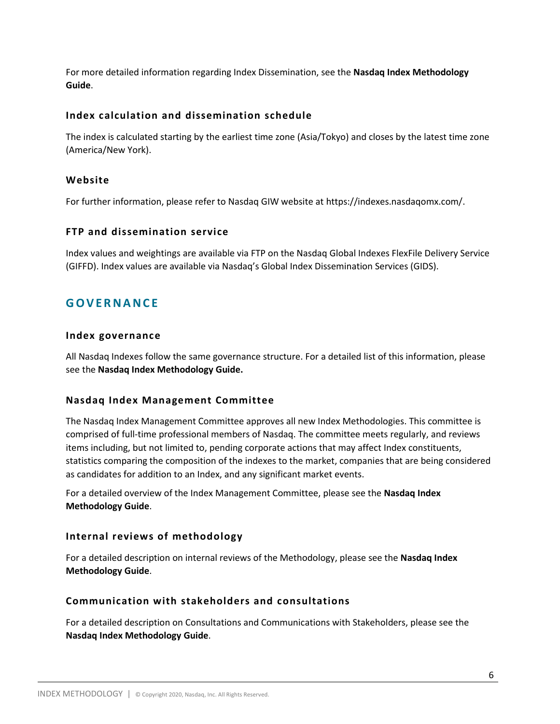For more detailed information regarding Index Dissemination, see the **Nasdaq Index Methodology Guide**.

#### **Index calculation and dissemination schedule**

The index is calculated starting by the earliest time zone (Asia/Tokyo) and closes by the latest time zone (America/New York).

#### **Website**

For further information, please refer to Nasdaq GIW website at https://indexes.nasdaqomx.com/.

#### **FTP and dissemination service**

Index values and weightings are available via FTP on the Nasdaq Global Indexes FlexFile Delivery Service (GIFFD). Index values are available via Nasdaq's Global Index Dissemination Services (GIDS).

# **G O V E R N A N C E**

#### **Index governance**

All Nasdaq Indexes follow the same governance structure. For a detailed list of this information, please see the **Nasdaq Index Methodology Guide.**

#### **Nasdaq Index Management Committee**

The Nasdaq Index Management Committee approves all new Index Methodologies. This committee is comprised of full-time professional members of Nasdaq. The committee meets regularly, and reviews items including, but not limited to, pending corporate actions that may affect Index constituents, statistics comparing the composition of the indexes to the market, companies that are being considered as candidates for addition to an Index, and any significant market events.

For a detailed overview of the Index Management Committee, please see the **Nasdaq Index Methodology Guide**.

#### **Internal reviews of methodology**

For a detailed description on internal reviews of the Methodology, please see the **Nasdaq Index Methodology Guide**.

### **Communication with stakeholders and consultations**

For a detailed description on Consultations and Communications with Stakeholders, please see the **Nasdaq Index Methodology Guide**.